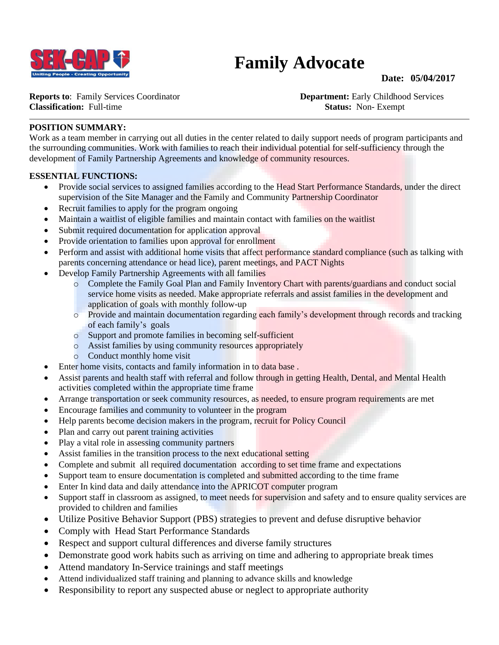

# **Family Advocate**

#### **Date: 05/04/2017**

**Reports to:** Family Services Coordinator **Department:** Early Childhood Services **Classification:** Full-time **Status:** Non- Exempt

#### **POSITION SUMMARY:**

Work as a team member in carrying out all duties in the center related to daily support needs of program participants and the surrounding communities. Work with families to reach their individual potential for self-sufficiency through the development of Family Partnership Agreements and knowledge of community resources.

#### **ESSENTIAL FUNCTIONS:**

- Provide social services to assigned families according to the Head Start Performance Standards, under the direct supervision of the Site Manager and the Family and Community Partnership Coordinator
- Recruit families to apply for the program ongoing
- Maintain a waitlist of eligible families and maintain contact with families on the waitlist
- Submit required documentation for application approval
- Provide orientation to families upon approval for enrollment
- Perform and assist with additional home visits that affect performance standard compliance (such as talking with parents concerning attendance or head lice), parent meetings, and PACT Nights
- Develop Family Partnership Agreements with all families
	- o Complete the Family Goal Plan and Family Inventory Chart with parents/guardians and conduct social service home visits as needed. Make appropriate referrals and assist families in the development and application of goals with monthly follow-up
	- o Provide and maintain documentation regarding each family's development through records and tracking of each family's goals
	- o Support and promote families in becoming self-sufficient
	- o Assist families by using community resources appropriately
	- o Conduct monthly home visit
- Enter home visits, contacts and family information in to data base.
- Assist parents and health staff with referral and follow through in getting Health, Dental, and Mental Health activities completed within the appropriate time frame
- Arrange transportation or seek community resources, as needed, to ensure program requirements are met
- Encourage families and community to volunteer in the program
- Help parents become decision makers in the program, recruit for Policy Council
- Plan and carry out parent training activities
- Play a vital role in assessing community partners
- Assist families in the transition process to the next educational setting
- Complete and submit all required documentation according to set time frame and expectations
- Support team to ensure documentation is completed and submitted according to the time frame
- Enter In kind data and daily attendance into the APRICOT computer program
- Support staff in classroom as assigned, to meet needs for supervision and safety and to ensure quality services are provided to children and families
- Utilize Positive Behavior Support (PBS) strategies to prevent and defuse disruptive behavior
- Comply with Head Start Performance Standards
- Respect and support cultural differences and diverse family structures
- Demonstrate good work habits such as arriving on time and adhering to appropriate break times
- Attend mandatory In-Service trainings and staff meetings
- Attend individualized staff training and planning to advance skills and knowledge
- Responsibility to report any suspected abuse or neglect to appropriate authority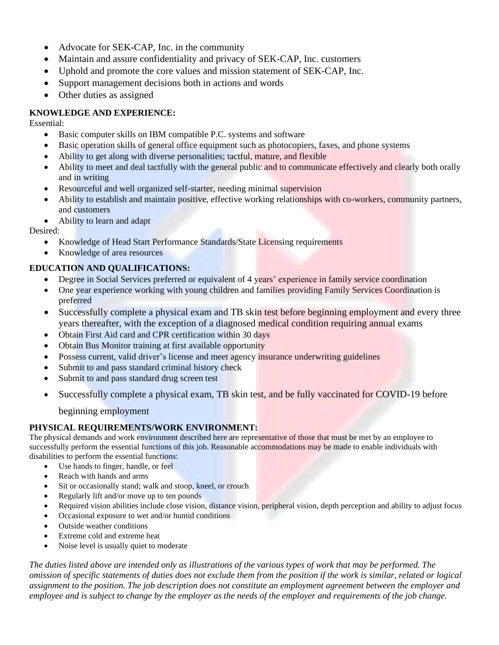- Advocate for SEK-CAP, Inc. in the community
- Maintain and assure confidentiality and privacy of SEK-CAP, Inc. customers
- Uphold and promote the core values and mission statement of SEK-CAP, Inc.
- Support management decisions both in actions and words
- Other duties as assigned

## **KNOWLEDGE AND EXPERIENCE:**

Essential:

- Basic computer skills on IBM compatible P.C. systems and software
- Basic operation skills of general office equipment such as photocopiers, faxes, and phone systems
- Ability to get along with diverse personalities; tactful, mature, and flexible
- Ability to meet and deal tactfully with the general public and to communicate effectively and clearly both orally and in writing
- Resourceful and well organized self-starter, needing minimal supervision
- Ability to establish and maintain positive, effective working relationships with co-workers, community partners, and customers
- Ability to learn and adapt

Desired:

- Knowledge of Head Start Performance Standards/State Licensing requirements
- Knowledge of area resources

## **EDUCATION AND QUALIFICATIONS:**

- Degree in Social Services preferred or equivalent of 4 years' experience in family service coordination
- One year experience working with young children and families providing Family Services Coordination is preferred
- Successfully complete a physical exam and TB skin test before beginning employment and every three years thereafter, with the exception of a diagnosed medical condition requiring annual exams
- Obtain First Aid card and CPR certification within 30 days
- Obtain Bus Monitor training at first available opportunity
- Possess current, valid driver's license and meet agency insurance underwriting guidelines
- Submit to and pass standard criminal history check
- Submit to and pass standard drug screen test
- Successfully complete a physical exam, TB skin test, and be fully vaccinated for COVID-19 before

beginning employment

## **PHYSICAL REQUIREMENTS/WORK ENVIRONMENT:**

The physical demands and work environment described here are representative of those that must be met by an employee to successfully perform the essential functions of this job. Reasonable accommodations may be made to enable individuals with disabilities to perform the essential functions:

- Use hands to finger, handle, or feel
- Reach with hands and arms
- Sit or occasionally stand; walk and stoop, kneel, or crouch
- Regularly lift and/or move up to ten pounds
- Required vision abilities include close vision, distance vision, peripheral vision, depth perception and ability to adjust focus
- Occasional exposure to wet and/or humid conditions
- Outside weather conditions
- Extreme cold and extreme heat
- Noise level is usually quiet to moderate

*The duties listed above are intended only as illustrations of the various types of work that may be performed. The omission of specific statements of duties does not exclude them from the position if the work is similar, related or logical assignment to the position. The job description does not constitute an employment agreement between the employer and employee and is subject to change by the employer as the needs of the employer and requirements of the job change.*